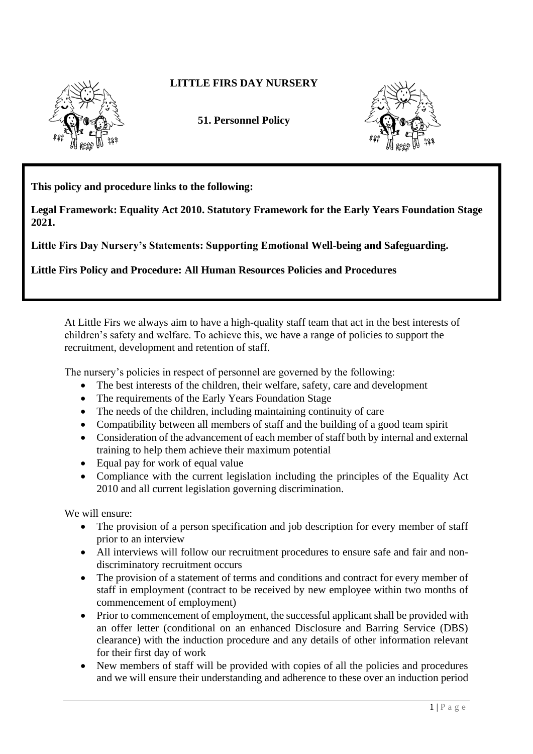

## **LITTLE FIRS DAY NURSERY**

**51. Personnel Policy**



**This policy and procedure links to the following:** 

**Legal Framework: Equality Act 2010. Statutory Framework for the Early Years Foundation Stage 2021.**

**Little Firs Day Nursery's Statements: Supporting Emotional Well-being and Safeguarding.**

**Little Firs Policy and Procedure: All Human Resources Policies and Procedures**

At Little Firs we always aim to have a high-quality staff team that act in the best interests of children's safety and welfare. To achieve this, we have a range of policies to support the recruitment, development and retention of staff.

The nursery's policies in respect of personnel are governed by the following:

- The best interests of the children, their welfare, safety, care and development
- The requirements of the Early Years Foundation Stage
- The needs of the children, including maintaining continuity of care
- Compatibility between all members of staff and the building of a good team spirit
- Consideration of the advancement of each member of staff both by internal and external training to help them achieve their maximum potential
- Equal pay for work of equal value
- Compliance with the current legislation including the principles of the Equality Act 2010 and all current legislation governing discrimination.

We will ensure:

- The provision of a person specification and job description for every member of staff prior to an interview
- All interviews will follow our recruitment procedures to ensure safe and fair and nondiscriminatory recruitment occurs
- The provision of a statement of terms and conditions and contract for every member of staff in employment (contract to be received by new employee within two months of commencement of employment)
- Prior to commencement of employment, the successful applicant shall be provided with an offer letter (conditional on an enhanced Disclosure and Barring Service (DBS) clearance) with the induction procedure and any details of other information relevant for their first day of work
- New members of staff will be provided with copies of all the policies and procedures and we will ensure their understanding and adherence to these over an induction period